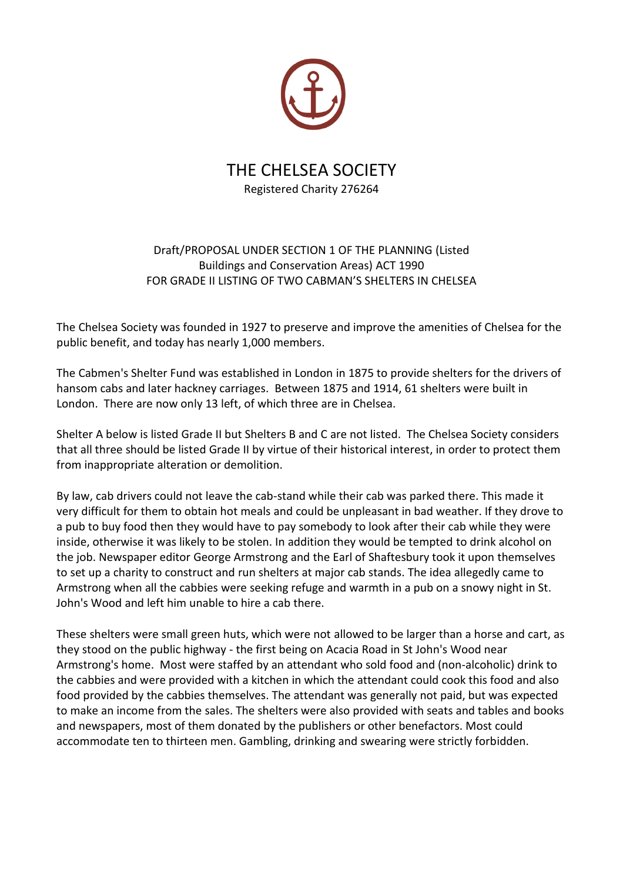

# THE CHELSEA SOCIETY Registered Charity 276264

# Draft/PROPOSAL UNDER SECTION 1 OF THE PLANNING (Listed Buildings and Conservation Areas) ACT 1990 FOR GRADE II LISTING OF TWO CABMAN'S SHELTERS IN CHELSEA

The Chelsea Society was founded in 1927 to preserve and improve the amenities of Chelsea for the public benefit, and today has nearly 1,000 members.

The Cabmen's Shelter Fund was established in London in 1875 to provide shelters for the drivers of hansom cabs and later hackney carriages. Between 1875 and 1914, 61 shelters were built in London. There are now only 13 left, of which three are in Chelsea.

Shelter A below is listed Grade II but Shelters B and C are not listed. The Chelsea Society considers that all three should be listed Grade II by virtue of their historical interest, in order to protect them from inappropriate alteration or demolition.

By law, cab drivers could not leave the cab-stand while their cab was parked there. This made it very difficult for them to obtain hot meals and could be unpleasant in bad weather. If they drove to a pub to buy food then they would have to pay somebody to look after their cab while they were inside, otherwise it was likely to be stolen. In addition they would be tempted to drink alcohol on the job. Newspaper editor George Armstrong and the Earl of Shaftesbury took it upon themselves to set up a charity to construct and run shelters at major cab stands. The idea allegedly came to Armstrong when all the cabbies were seeking refuge and warmth in a pub on a snowy night in St. John's Wood and left him unable to hire a cab there.

These shelters were small green huts, which were not allowed to be larger than a horse and cart, as they stood on the public highway - the first being on Acacia Road in St John's Wood near Armstrong's home. Most were staffed by an attendant who sold food and (non-alcoholic) drink to the cabbies and were provided with a kitchen in which the attendant could cook this food and also food provided by the cabbies themselves. The attendant was generally not paid, but was expected to make an income from the sales. The shelters were also provided with seats and tables and books and newspapers, most of them donated by the publishers or other benefactors. Most could accommodate ten to thirteen men. Gambling, drinking and swearing were strictly forbidden.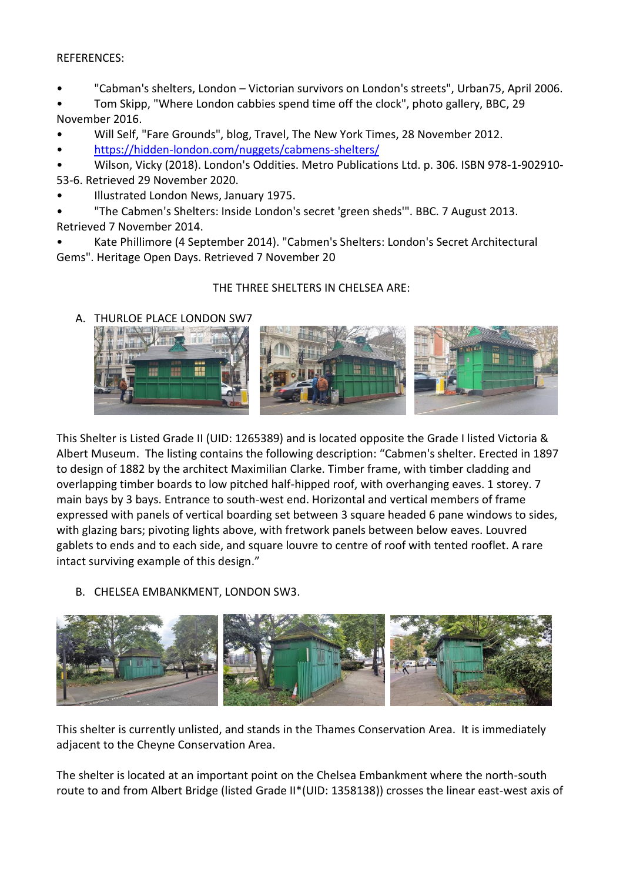#### REFERENCES:

- "Cabman's shelters, London Victorian survivors on London's streets", Urban75, April 2006.
- Tom Skipp, "Where London cabbies spend time off the clock", photo gallery, BBC, 29 November 2016.
- Will Self, "Fare Grounds", blog, Travel, The New York Times, 28 November 2012.
- <https://hidden-london.com/nuggets/cabmens-shelters/>
- Wilson, Vicky (2018). London's Oddities. Metro Publications Ltd. p. 306. ISBN 978-1-902910- 53-6. Retrieved 29 November 2020.
- Illustrated London News, January 1975.
- "The Cabmen's Shelters: Inside London's secret 'green sheds'". BBC. 7 August 2013.
- Retrieved 7 November 2014.
- Kate Phillimore (4 September 2014). "Cabmen's Shelters: London's Secret Architectural Gems". Heritage Open Days. Retrieved 7 November 20

## THE THREE SHELTERS IN CHELSEA ARE:

A. THURLOE PLACE LONDON SW7



This Shelter is Listed Grade II (UID: 1265389) and is located opposite the Grade I listed Victoria & Albert Museum. The listing contains the following description: "Cabmen's shelter. Erected in 1897 to design of 1882 by the architect Maximilian Clarke. Timber frame, with timber cladding and overlapping timber boards to low pitched half-hipped roof, with overhanging eaves. 1 storey. 7 main bays by 3 bays. Entrance to south-west end. Horizontal and vertical members of frame expressed with panels of vertical boarding set between 3 square headed 6 pane windows to sides, with glazing bars; pivoting lights above, with fretwork panels between below eaves. Louvred gablets to ends and to each side, and square louvre to centre of roof with tented rooflet. A rare intact surviving example of this design."

B. CHELSEA EMBANKMENT, LONDON SW3.



This shelter is currently unlisted, and stands in the Thames Conservation Area. It is immediately adjacent to the Cheyne Conservation Area.

The shelter is located at an important point on the Chelsea Embankment where the north-south route to and from Albert Bridge (listed Grade II\*(UID: 1358138)) crosses the linear east-west axis of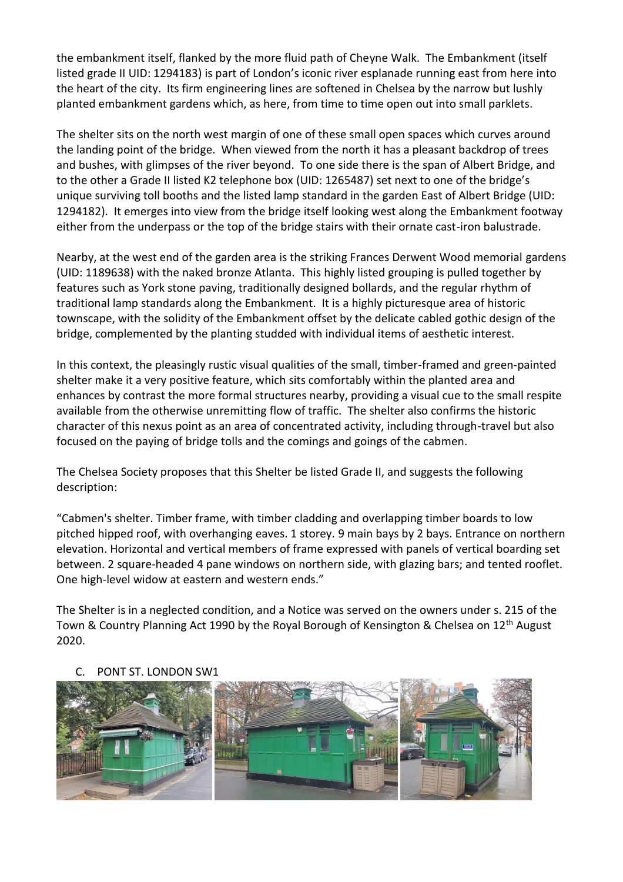the embankment itself, flanked by the more fluid path of Cheyne Walk. The Embankment (itself listed grade II UID: 1294183) is part of London's iconic river esplanade running east from here into the heart of the city. Its firm engineering lines are softened in Chelsea by the narrow but lushly planted embankment gardens which, as here, from time to time open out into small parklets.

The shelter sits on the north west margin of one of these small open spaces which curves around the landing point of the bridge. When viewed from the north it has a pleasant backdrop of trees and bushes, with glimpses of the river beyond. To one side there is the span of Albert Bridge, and to the other a Grade II listed K2 telephone box (UID: 1265487) set next to one of the bridge's unique surviving toll booths and the listed lamp standard in the garden East of Albert Bridge (UID: 1294182). It emerges into view from the bridge itself looking west along the Embankment footway either from the underpass or the top of the bridge stairs with their ornate cast-iron balustrade.

Nearby, at the west end of the garden area is the striking Frances Derwent Wood memorial gardens (UID: 1189638) with the naked bronze Atlanta. This highly listed grouping is pulled together by features such as York stone paving, traditionally designed bollards, and the regular rhythm of traditional lamp standards along the Embankment. It is a highly picturesque area of historic townscape, with the solidity of the Embankment offset by the delicate cabled gothic design of the bridge, complemented by the planting studded with individual items of aesthetic interest.

In this context, the pleasingly rustic visual qualities of the small, timber-framed and green-painted shelter make it a very positive feature, which sits comfortably within the planted area and enhances by contrast the more formal structures nearby, providing a visual cue to the small respite available from the otherwise unremitting flow of traffic. The shelter also confirms the historic character of this nexus point as an area of concentrated activity, including through-travel but also focused on the paying of bridge tolls and the comings and goings of the cabmen.

The Chelsea Society proposes that this Shelter be listed Grade II, and suggests the following description:

"Cabmen's shelter. Timber frame, with timber cladding and overlapping timber boards to low pitched hipped roof, with overhanging eaves. 1 storey. 9 main bays by 2 bays. Entrance on northern elevation. Horizontal and vertical members of frame expressed with panels of vertical boarding set between. 2 square-headed 4 pane windows on northern side, with glazing bars; and tented rooflet. One high-level widow at eastern and western ends."

The Shelter is in a neglected condition, and a Notice was served on the owners under s. 215 of the Town & Country Planning Act 1990 by the Royal Borough of Kensington & Chelsea on 12<sup>th</sup> August 2020.



## PONT ST. LONDON SW1